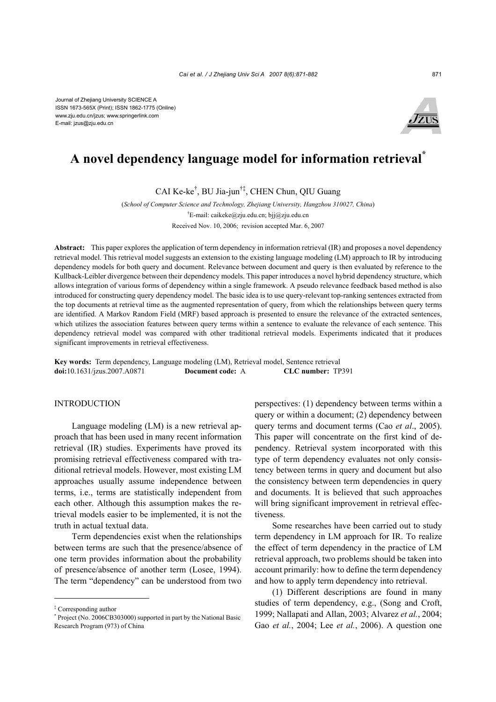

# **A novel dependency language model for information retrieval\***

CAI Ke-ke† , BU Jia-jun†‡, CHEN Chun, QIU Guang

(*School of Computer Science and Technology, Zhejiang University, Hangzhou 310027, China*) † E-mail: caikeke@zju.edu.cn; bjj@zju.edu.cn Received Nov. 10, 2006; revision accepted Mar. 6, 2007

**Abstract:** This paper explores the application of term dependency in information retrieval (IR) and proposes a novel dependency retrieval model. This retrieval model suggests an extension to the existing language modeling (LM) approach to IR by introducing dependency models for both query and document. Relevance between document and query is then evaluated by reference to the Kullback-Leibler divergence between their dependency models. This paper introduces a novel hybrid dependency structure, which allows integration of various forms of dependency within a single framework. A pseudo relevance feedback based method is also introduced for constructing query dependency model. The basic idea is to use query-relevant top-ranking sentences extracted from the top documents at retrieval time as the augmented representation of query, from which the relationships between query terms are identified. A Markov Random Field (MRF) based approach is presented to ensure the relevance of the extracted sentences, which utilizes the association features between query terms within a sentence to evaluate the relevance of each sentence. This dependency retrieval model was compared with other traditional retrieval models. Experiments indicated that it produces significant improvements in retrieval effectiveness.

**Key words:** Term dependency, Language modeling (LM), Retrieval model, Sentence retrieval **doi:**10.1631/jzus.2007.A0871 **Document code:** A **CLC number:** TP391

## INTRODUCTION

Language modeling (LM) is a new retrieval approach that has been used in many recent information retrieval (IR) studies. Experiments have proved its promising retrieval effectiveness compared with traditional retrieval models. However, most existing LM approaches usually assume independence between terms, i.e., terms are statistically independent from each other. Although this assumption makes the retrieval models easier to be implemented, it is not the truth in actual textual data.

Term dependencies exist when the relationships between terms are such that the presence/absence of one term provides information about the probability of presence/absence of another term (Losee, 1994). The term "dependency" can be understood from two

perspectives: (1) dependency between terms within a query or within a document; (2) dependency between query terms and document terms (Cao *et al*., 2005). This paper will concentrate on the first kind of dependency. Retrieval system incorporated with this type of term dependency evaluates not only consistency between terms in query and document but also the consistency between term dependencies in query and documents. It is believed that such approaches will bring significant improvement in retrieval effectiveness.

Some researches have been carried out to study term dependency in LM approach for IR. To realize the effect of term dependency in the practice of LM retrieval approach, two problems should be taken into account primarily: how to define the term dependency and how to apply term dependency into retrieval.

(1) Different descriptions are found in many studies of term dependency, e.g., (Song and Croft, 1999; Nallapati and Allan, 2003; Alvarez *et al.*, 2004; Gao *et al.*, 2004; Lee *et al.*, 2006). A question one

<sup>‡</sup> Corresponding author

<sup>\*</sup> Project (No. 2006CB303000) supported in part by the National Basic Research Program (973) of China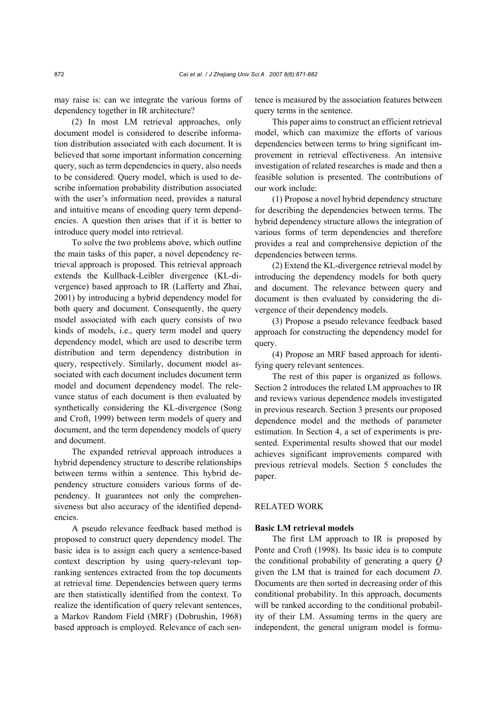may raise is: can we integrate the various forms of dependency together in IR architecture?

(2) In most LM retrieval approaches, only document model is considered to describe information distribution associated with each document. It is believed that some important information concerning query, such as term dependencies in query, also needs to be considered. Query model, which is used to describe information probability distribution associated with the user's information need, provides a natural and intuitive means of encoding query term dependencies. A question then arises that if it is better to introduce query model into retrieval.

To solve the two problems above, which outline the main tasks of this paper, a novel dependency retrieval approach is proposed. This retrieval approach extends the Kullback-Leibler divergence (KL-divergence) based approach to IR (Lafferty and Zhai, 2001) by introducing a hybrid dependency model for both query and document. Consequently, the query model associated with each query consists of two kinds of models, i.e., query term model and query dependency model, which are used to describe term distribution and term dependency distribution in query, respectively. Similarly, document model associated with each document includes document term model and document dependency model. The relevance status of each document is then evaluated by synthetically considering the KL-divergence (Song and Croft, 1999) between term models of query and document, and the term dependency models of query and document.

The expanded retrieval approach introduces a hybrid dependency structure to describe relationships between terms within a sentence. This hybrid dependency structure considers various forms of dependency. It guarantees not only the comprehensiveness but also accuracy of the identified dependencies.

A pseudo relevance feedback based method is proposed to construct query dependency model. The basic idea is to assign each query a sentence-based context description by using query-relevant topranking sentences extracted from the top documents at retrieval time. Dependencies between query terms are then statistically identified from the context. To realize the identification of query relevant sentences, a Markov Random Field (MRF) (Dobrushin, 1968) based approach is employed. Relevance of each sentence is measured by the association features between query terms in the sentence.

This paper aims to construct an efficient retrieval model, which can maximize the efforts of various dependencies between terms to bring significant improvement in retrieval effectiveness. An intensive investigation of related researches is made and then a feasible solution is presented. The contributions of our work include:

(1) Propose a novel hybrid dependency structure for describing the dependencies between terms. The hybrid dependency structure allows the integration of various forms of term dependencies and therefore provides a real and comprehensive depiction of the dependencies between terms.

(2) Extend the KL-divergence retrieval model by introducing the dependency models for both query and document. The relevance between query and document is then evaluated by considering the divergence of their dependency models.

(3) Propose a pseudo relevance feedback based approach for constructing the dependency model for query.

(4) Propose an MRF based approach for identifying query relevant sentences.

The rest of this paper is organized as follows. Section 2 introduces the related LM approaches to IR and reviews various dependence models investigated in previous research. Section 3 presents our proposed dependence model and the methods of parameter estimation. In Section 4, a set of experiments is presented. Experimental results showed that our model achieves significant improvements compared with previous retrieval models. Section 5 concludes the paper.

# RELATED WORK

# **Basic LM retrieval models**

The first LM approach to IR is proposed by Ponte and Croft (1998). Its basic idea is to compute the conditional probability of generating a query *Q* given the LM that is trained for each document *D*. Documents are then sorted in decreasing order of this conditional probability. In this approach, documents will be ranked according to the conditional probability of their LM. Assuming terms in the query are independent, the general unigram model is formu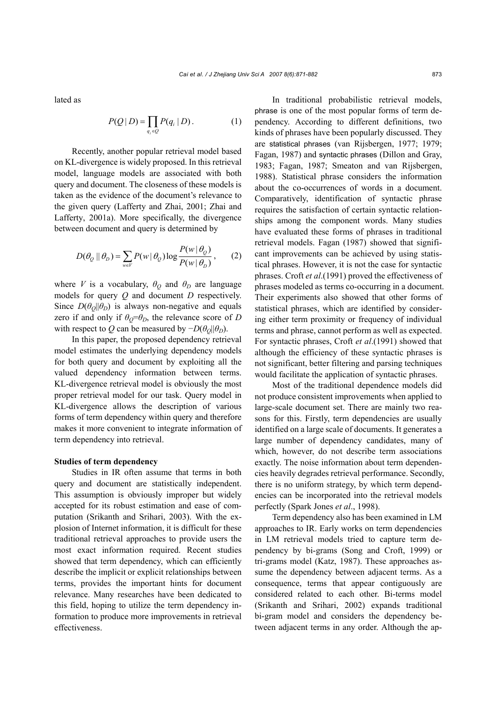lated as

$$
P(Q | D) = \prod_{q_i \in Q} P(q_i | D). \tag{1}
$$

Recently, another popular retrieval model based on KL-divergence is widely proposed. In this retrieval model, language models are associated with both query and document. The closeness of these models is taken as the evidence of the document's relevance to the given query (Lafferty and Zhai, 2001; Zhai and Lafferty, 2001a). More specifically, the divergence between document and query is determined by

$$
D(\theta_Q \parallel \theta_D) = \sum_{w \in V} P(w \mid \theta_Q) \log \frac{P(w \mid \theta_Q)}{P(w \mid \theta_D)},
$$
 (2)

where *V* is a vocabulary,  $\theta_Q$  and  $\theta_D$  are language models for query *Q* and document *D* respectively. Since  $D(\theta_0||\theta_0)$  is always non-negative and equals zero if and only if  $\theta_0 = \theta_D$ , the relevance score of *D* with respect to *Q* can be measured by  $-D(\theta_0||\theta_0)$ .

In this paper, the proposed dependency retrieval model estimates the underlying dependency models for both query and document by exploiting all the valued dependency information between terms. KL-divergence retrieval model is obviously the most proper retrieval model for our task. Query model in KL-divergence allows the description of various forms of term dependency within query and therefore makes it more convenient to integrate information of term dependency into retrieval.

## **Studies of term dependency**

Studies in IR often assume that terms in both query and document are statistically independent. This assumption is obviously improper but widely accepted for its robust estimation and ease of computation (Srikanth and Srihari, 2003). With the explosion of Internet information, it is difficult for these traditional retrieval approaches to provide users the most exact information required. Recent studies showed that term dependency, which can efficiently describe the implicit or explicit relationships between terms, provides the important hints for document relevance. Many researches have been dedicated to this field, hoping to utilize the term dependency information to produce more improvements in retrieval effectiveness.

In traditional probabilistic retrieval models, phrase is one of the most popular forms of term dependency. According to different definitions, two kinds of phrases have been popularly discussed. They are statistical phrases (van Rijsbergen, 1977; 1979; Fagan, 1987) and syntactic phrases (Dillon and Gray, 1983; Fagan, 1987; Smeaton and van Rijsbergen, 1988). Statistical phrase considers the information about the co-occurrences of words in a document. Comparatively, identification of syntactic phrase requires the satisfaction of certain syntactic relationships among the component words. Many studies have evaluated these forms of phrases in traditional retrieval models. Fagan (1987) showed that significant improvements can be achieved by using statistical phrases. However, it is not the case for syntactic phrases. Croft *et al*.(1991) proved the effectiveness of phrases modeled as terms co-occurring in a document. Their experiments also showed that other forms of statistical phrases, which are identified by considering either term proximity or frequency of individual terms and phrase, cannot perform as well as expected. For syntactic phrases, Croft *et al*.(1991) showed that although the efficiency of these syntactic phrases is not significant, better filtering and parsing techniques would facilitate the application of syntactic phrases.

Most of the traditional dependence models did not produce consistent improvements when applied to large-scale document set. There are mainly two reasons for this. Firstly, term dependencies are usually identified on a large scale of documents. It generates a large number of dependency candidates, many of which, however, do not describe term associations exactly. The noise information about term dependencies heavily degrades retrieval performance. Secondly, there is no uniform strategy, by which term dependencies can be incorporated into the retrieval models perfectly (Spark Jones *et al*., 1998).

Term dependency also has been examined in LM approaches to IR. Early works on term dependencies in LM retrieval models tried to capture term dependency by bi-grams (Song and Croft, 1999) or tri-grams model (Katz, 1987). These approaches assume the dependency between adjacent terms. As a consequence, terms that appear contiguously are considered related to each other. Bi-terms model (Srikanth and Srihari, 2002) expands traditional bi-gram model and considers the dependency between adjacent terms in any order. Although the ap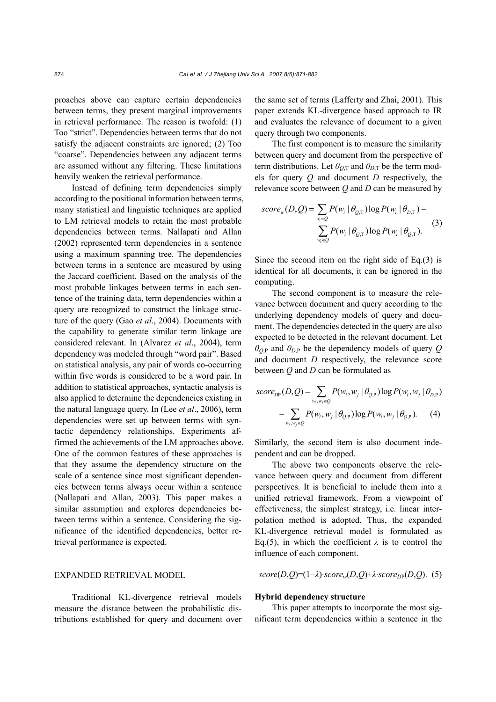proaches above can capture certain dependencies between terms, they present marginal improvements in retrieval performance. The reason is twofold: (1) Too "strict". Dependencies between terms that do not satisfy the adjacent constraints are ignored; (2) Too "coarse". Dependencies between any adjacent terms are assumed without any filtering. These limitations heavily weaken the retrieval performance.

Instead of defining term dependencies simply according to the positional information between terms, many statistical and linguistic techniques are applied to LM retrieval models to retain the most probable dependencies between terms. Nallapati and Allan (2002) represented term dependencies in a sentence using a maximum spanning tree. The dependencies between terms in a sentence are measured by using the Jaccard coefficient. Based on the analysis of the most probable linkages between terms in each sentence of the training data, term dependencies within a query are recognized to construct the linkage structure of the query (Gao *et al*., 2004). Documents with the capability to generate similar term linkage are considered relevant. In (Alvarez *et al*., 2004), term dependency was modeled through "word pair". Based on statistical analysis, any pair of words co-occurring within five words is considered to be a word pair. In addition to statistical approaches, syntactic analysis is also applied to determine the dependencies existing in the natural language query. In (Lee *et al*., 2006), term dependencies were set up between terms with syntactic dependency relationships. Experiments affirmed the achievements of the LM approaches above. One of the common features of these approaches is that they assume the dependency structure on the scale of a sentence since most significant dependencies between terms always occur within a sentence (Nallapati and Allan, 2003). This paper makes a similar assumption and explores dependencies between terms within a sentence. Considering the significance of the identified dependencies, better retrieval performance is expected.

# EXPANDED RETRIEVAL MODEL

Traditional KL-divergence retrieval models measure the distance between the probabilistic distributions established for query and document over the same set of terms (Lafferty and Zhai, 2001). This paper extends KL-divergence based approach to IR and evaluates the relevance of document to a given query through two components.

The first component is to measure the similarity between query and document from the perspective of term distributions. Let  $\theta_{Q,T}$  and  $\theta_{D,T}$  be the term models for query *Q* and document *D* respectively, the relevance score between *Q* and *D* can be measured by

$$
score_w(D,Q) = \sum_{w_i \in Q} P(w_i | \theta_{Q,T}) \log P(w_i | \theta_{D,T}) -
$$
  

$$
\sum_{w_i \in Q} P(w_i | \theta_{Q,T}) \log P(w_i | \theta_{Q,T}).
$$
 (3)

Since the second item on the right side of Eq.(3) is identical for all documents, it can be ignored in the computing.

The second component is to measure the relevance between document and query according to the underlying dependency models of query and document. The dependencies detected in the query are also expected to be detected in the relevant document. Let  $\theta_{Q,P}$  and  $\theta_{D,P}$  be the dependency models of query *Q* and document *D* respectively, the relevance score between *Q* and *D* can be formulated as

$$
score_{DP}(D,Q) = \sum_{w_i, w_j \in Q} P(w_i, w_j | \theta_{Q,P}) \log P(w_i, w_j | \theta_{D,P})
$$

$$
- \sum_{w_i, w_j \in Q} P(w_i, w_j | \theta_{Q,P}) \log P(w_i, w_j | \theta_{Q,P}). \tag{4}
$$

Similarly, the second item is also document independent and can be dropped.

The above two components observe the relevance between query and document from different perspectives. It is beneficial to include them into a unified retrieval framework. From a viewpoint of effectiveness, the simplest strategy, i.e. linear interpolation method is adopted. Thus, the expanded KL-divergence retrieval model is formulated as Eq.(5), in which the coefficient  $\lambda$  is to control the influence of each component.

 $score(D,Q)=(1-\lambda) \cdot score_w(D,Q)+\lambda \cdot score_{DP}(D,Q)$ . (5)

#### **Hybrid dependency structure**

This paper attempts to incorporate the most significant term dependencies within a sentence in the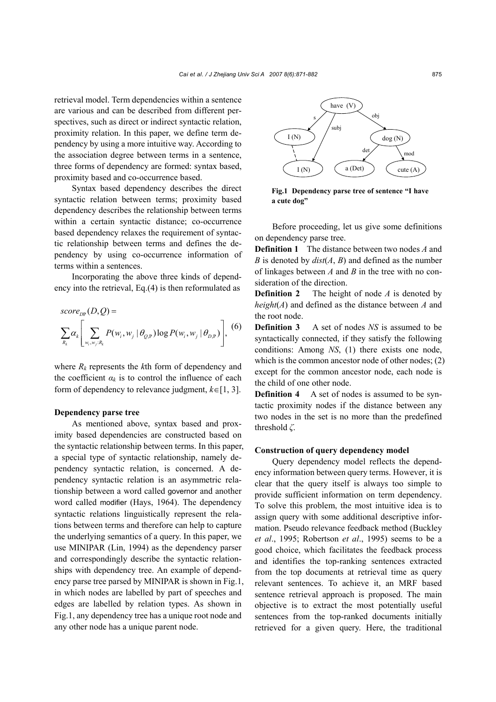retrieval model. Term dependencies within a sentence are various and can be described from different perspectives, such as direct or indirect syntactic relation, proximity relation. In this paper, we define term dependency by using a more intuitive way. According to the association degree between terms in a sentence, three forms of dependency are formed: syntax based, proximity based and co-occurrence based.

Syntax based dependency describes the direct syntactic relation between terms; proximity based dependency describes the relationship between terms within a certain syntactic distance; co-occurrence based dependency relaxes the requirement of syntactic relationship between terms and defines the dependency by using co-occurrence information of terms within a sentences.

Incorporating the above three kinds of dependency into the retrieval, Eq.(4) is then reformulated as

$$
score_{DP}(D, Q) = \sum_{R_k} \alpha_k \left[ \sum_{w_i, w_j: R_k} P(w_i, w_j | \theta_{Q, P}) \log P(w_i, w_j | \theta_{D, P}) \right],
$$
 (6)

where  $R_k$  represents the  $k$ th form of dependency and the coefficient  $a_k$  is to control the influence of each form of dependency to relevance judgment,  $k \in [1, 3]$ .

#### **Dependency parse tree**

As mentioned above, syntax based and proximity based dependencies are constructed based on the syntactic relationship between terms. In this paper, a special type of syntactic relationship, namely dependency syntactic relation, is concerned. A dependency syntactic relation is an asymmetric relationship between a word called governor and another word called modifier (Hays, 1964). The dependency syntactic relations linguistically represent the relations between terms and therefore can help to capture the underlying semantics of a query. In this paper, we use MINIPAR (Lin, 1994) as the dependency parser and correspondingly describe the syntactic relationships with dependency tree. An example of dependency parse tree parsed by MINIPAR is shown in Fig.1, in which nodes are labelled by part of speeches and edges are labelled by relation types. As shown in Fig.1, any dependency tree has a unique root node and any other node has a unique parent node.



**Fig.1 Dependency parse tree of sentence "I have a cute dog"** 

Before proceeding, let us give some definitions on dependency parse tree.

**Definition 1** The distance between two nodes *A* and *B* is denoted by *dist*(*A*, *B*) and defined as the number of linkages between *A* and *B* in the tree with no consideration of the direction.

**Definition 2** The height of node *A* is denoted by *height*(*A*) and defined as the distance between *A* and the root node.

**Definition 3** A set of nodes *NS* is assumed to be syntactically connected, if they satisfy the following conditions: Among *NS*, (1) there exists one node, which is the common ancestor node of other nodes; (2) except for the common ancestor node, each node is the child of one other node.

**Definition 4** A set of nodes is assumed to be syntactic proximity nodes if the distance between any two nodes in the set is no more than the predefined threshold *ζ*.

# **Construction of query dependency model**

Query dependency model reflects the dependency information between query terms. However, it is clear that the query itself is always too simple to provide sufficient information on term dependency. To solve this problem, the most intuitive idea is to assign query with some additional descriptive information. Pseudo relevance feedback method (Buckley *et al*., 1995; Robertson *et al*., 1995) seems to be a good choice, which facilitates the feedback process and identifies the top-ranking sentences extracted from the top documents at retrieval time as query relevant sentences. To achieve it, an MRF based sentence retrieval approach is proposed. The main objective is to extract the most potentially useful sentences from the top-ranked documents initially retrieved for a given query. Here, the traditional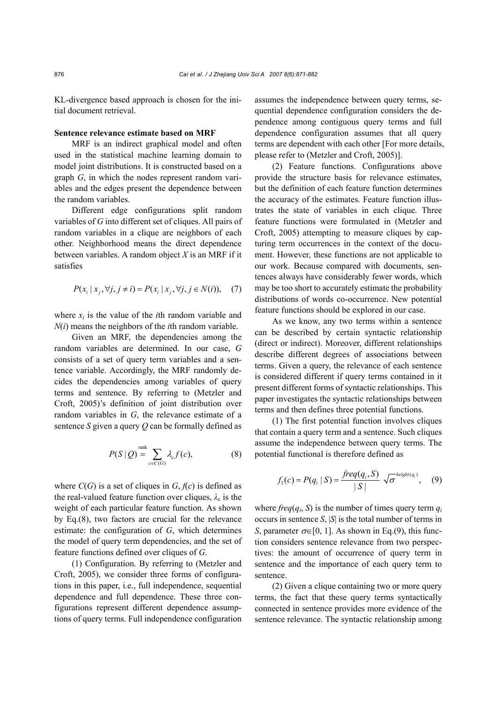KL-divergence based approach is chosen for the initial document retrieval.

#### **Sentence relevance estimate based on MRF**

MRF is an indirect graphical model and often used in the statistical machine learning domain to model joint distributions. It is constructed based on a graph *G*, in which the nodes represent random variables and the edges present the dependence between the random variables.

Different edge configurations split random variables of *G* into different set of cliques. All pairs of random variables in a clique are neighbors of each other. Neighborhood means the direct dependence between variables. A random object *X* is an MRF if it satisfies

$$
P(x_i | x_j, \forall j, j \neq i) = P(x_i | x_j, \forall j, j \in N(i)), \quad (7)
$$

where  $x_i$  is the value of the *i*th random variable and *N*(*i*) means the neighbors of the *i*th random variable.

Given an MRF, the dependencies among the random variables are determined. In our case, *G* consists of a set of query term variables and a sentence variable. Accordingly, the MRF randomly decides the dependencies among variables of query terms and sentence. By referring to (Metzler and Croft, 2005)'s definition of joint distribution over random variables in *G*, the relevance estimate of a sentence *S* given a query *Q* can be formally defined as

$$
P(S \mid Q) = \sum_{c \in C(G)} \lambda_c f(c), \tag{8}
$$

where  $C(G)$  is a set of cliques in  $G, f(c)$  is defined as the real-valued feature function over cliques,  $\lambda_c$  is the weight of each particular feature function. As shown by Eq.(8), two factors are crucial for the relevance estimate: the configuration of *G*, which determines the model of query term dependencies, and the set of feature functions defined over cliques of *G*.

(1) Configuration. By referring to (Metzler and Croft, 2005), we consider three forms of configurations in this paper, i.e., full independence, sequential dependence and full dependence. These three configurations represent different dependence assumptions of query terms. Full independence configuration assumes the independence between query terms, sequential dependence configuration considers the dependence among contiguous query terms and full dependence configuration assumes that all query terms are dependent with each other [For more details, please refer to (Metzler and Croft, 2005)].

(2) Feature functions. Configurations above provide the structure basis for relevance estimates, but the definition of each feature function determines the accuracy of the estimates. Feature function illustrates the state of variables in each clique. Three feature functions were formulated in (Metzler and Croft, 2005) attempting to measure cliques by capturing term occurrences in the context of the document. However, these functions are not applicable to our work. Because compared with documents, sentences always have considerably fewer words, which may be too short to accurately estimate the probability distributions of words co-occurrence. New potential feature functions should be explored in our case.

As we know, any two terms within a sentence can be described by certain syntactic relationship (direct or indirect). Moreover, different relationships describe different degrees of associations between terms. Given a query, the relevance of each sentence is considered different if query terms contained in it present different forms of syntactic relationships. This paper investigates the syntactic relationships between terms and then defines three potential functions.

(1) The first potential function involves cliques that contain a query term and a sentence. Such cliques assume the independence between query terms. The potential functional is therefore defined as

$$
f_1(c) = P(q_i | S) = \frac{freq(q_i, S)}{|S|} \sqrt{\sigma}^{height(q_i)}, \quad (9)
$$

where  $freq(q_i, S)$  is the number of times query term  $q_i$ occurs in sentence *S*, |*S*| is the total number of terms in *S*, parameter  $\sigma \in [0, 1]$ . As shown in Eq.(9), this function considers sentence relevance from two perspectives: the amount of occurrence of query term in sentence and the importance of each query term to sentence.

(2) Given a clique containing two or more query terms, the fact that these query terms syntactically connected in sentence provides more evidence of the sentence relevance. The syntactic relationship among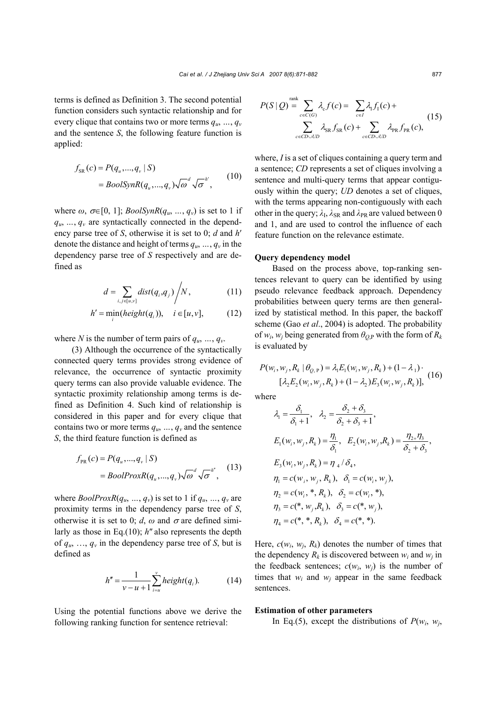terms is defined as Definition 3. The second potential function considers such syntactic relationship and for every clique that contains two or more terms  $q_u$ , ...,  $q_v$ and the sentence *S*, the following feature function is applied:

$$
f_{SR}(c) = P(q_u, ..., q_v | S)
$$
  
= 
$$
BoolSynR(q_u, ..., q_v) \sqrt{\omega}^d \sqrt{\sigma}^{h'}
$$
 (10)

where  $\omega$ ,  $\sigma \in [0, 1]$ ; *BoolSynR*( $q_u$ , ...,  $q_v$ ) is set to 1 if  $q_u$ , ...,  $q_v$  are syntactically connected in the dependency parse tree of *S*, otherwise it is set to 0; *d* and *h*′ denote the distance and height of terms  $q_u$ , ...,  $q_v$  in the dependency parse tree of *S* respectively and are defined as

$$
d = \sum_{i,j \in [u,v]} dist(q_i, q_j) / N, \qquad (11)
$$

$$
h' = \min_{i} (height(q_i)), \quad i \in [u, v], \tag{12}
$$

where *N* is the number of term pairs of  $q_u$ , ...,  $q_v$ .

(3) Although the occurrence of the syntactically connected query terms provides strong evidence of relevance, the occurrence of syntactic proximity query terms can also provide valuable evidence. The syntactic proximity relationship among terms is defined as Definition 4. Such kind of relationship is considered in this paper and for every clique that contains two or more terms  $q_u$ , ...,  $q_v$  and the sentence *S*, the third feature function is defined as

$$
f_{PR}(c) = P(q_u, ..., q_v | S)
$$
  
=  $BoolProxR(q_u, ..., q_v) \sqrt{\omega}^d \sqrt{\sigma}^{h'}$ , (13)

where  $BoolProxR(q_u, ..., q_v)$  is set to 1 if  $q_u, ..., q_v$  are proximity terms in the dependency parse tree of *S*, otherwise it is set to 0;  $d$ ,  $\omega$  and  $\sigma$  are defined similarly as those in Eq.(10); *h*″ also represents the depth of  $q_u$ , ...,  $q_v$  in the dependency parse tree of *S*, but is defined as

$$
h'' = \frac{1}{v - u + 1} \sum_{i=u}^{v} height(q_i). \tag{14}
$$

Using the potential functions above we derive the following ranking function for sentence retrieval:

$$
P(S \mid Q) = \sum_{c \in C(G)} \lambda_c f(c) = \sum_{c \in I} \lambda_1 f_1(c) + \sum_{c \in CDO \cup UD} \lambda_{SR} f_{SR}(c) + \sum_{c \in CD \cup UD} \lambda_{PR} f_{PR}(c),
$$
\n(15)

where, *I* is a set of cliques containing a query term and a sentence; *CD* represents a set of cliques involving a sentence and multi-query terms that appear contiguously within the query; *UD* denotes a set of cliques, with the terms appearing non-contiguously with each other in the query;  $\lambda_{\rm I}$ ,  $\lambda_{\rm SR}$  and  $\lambda_{\rm PR}$  are valued between 0 and 1, and are used to control the influence of each feature function on the relevance estimate.

#### **Query dependency model**

Based on the process above, top-ranking sentences relevant to query can be identified by using pseudo relevance feedback approach. Dependency probabilities between query terms are then generalized by statistical method. In this paper, the backoff scheme (Gao *et al*., 2004) is adopted. The probability of  $w_i$ ,  $w_j$  being generated from  $\theta_{O,P}$  with the form of  $R_k$ is evaluated by

$$
P(w_i, w_j, R_k | \theta_{Q, P}) = \lambda_1 E_1(w_i, w_j, R_k) + (1 - \lambda_1) \cdot \left[ \lambda_2 E_2(w_i, w_j, R_k) + (1 - \lambda_2) E_3(w_i, w_j, R_k) \right],
$$
 (16)

where

$$
\lambda_1 = \frac{\delta_1}{\delta_1 + 1}, \quad \lambda_2 = \frac{\delta_2 + \delta_3}{\delta_2 + \delta_3 + 1}, \nE_1(w_i, w_j, R_k) = \frac{\eta_1}{\delta_1}, \quad E_2(w_i, w_j, R_k) = \frac{\eta_2 + \eta_3}{\delta_2 + \delta_3}, \nE_3(w_i, w_j, R_k) = \eta_4 / \delta_4, \n\eta_1 = c(w_i, w_j, R_k), \quad \delta_1 = c(w_i, w_j), \n\eta_2 = c(w_i, *, R_k), \quad \delta_2 = c(w_i, *,), \n\eta_3 = c(*, w_j, R_k), \quad \delta_3 = c(*, w_j), \n\eta_4 = c(*, *, R_k), \quad \delta_4 = c(*, *).
$$

Here,  $c(w_i, w_j, R_k)$  denotes the number of times that the dependency  $R_k$  is discovered between  $w_i$  and  $w_j$  in the feedback sentences;  $c(w_i, w_j)$  is the number of times that  $w_i$  and  $w_j$  appear in the same feedback sentences.

#### **Estimation of other parameters**

In Eq.(5), except the distributions of  $P(w_i, w_j)$ ,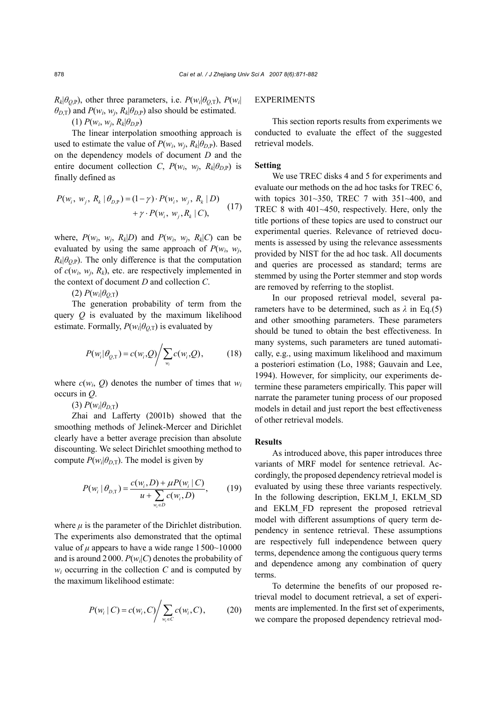$R_k | \theta_{Q,\text{P}}$ ), other three parameters, i.e.  $P(w_i | \theta_{Q,\text{T}})$ ,  $P(w_i | \theta_{Q,\text{T}})$  $\theta_{D,T}$ ) and  $P(w_i, w_j, R_k | \theta_{D,P})$  also should be estimated.

 $(1)$   $P(w_i, w_j, R_k | \theta_{D,P})$ 

The linear interpolation smoothing approach is used to estimate the value of  $P(w_i, w_i, R_k | \theta_{DP})$ . Based on the dependency models of document *D* and the entire document collection *C*,  $P(w_i, w_j, R_k | \theta_{DP})$  is finally defined as

$$
P(w_i, w_j, R_k | \theta_{D,P}) = (1 - \gamma) \cdot P(w_i, w_j, R_k | D) + \gamma \cdot P(w_i, w_j, R_k | C),
$$
 (17)

where,  $P(w_i, w_j, R_k|D)$  and  $P(w_i, w_j, R_k|C)$  can be evaluated by using the same approach of  $P(w_i, w_j)$ ,  $R_k$ | $\theta_{OP}$ ). The only difference is that the computation of  $c(w_i, w_i, R_k)$ , etc. are respectively implemented in the context of document *D* and collection *C*.

 $P(w_i|\theta_{O,T})$ 

The generation probability of term from the query *Q* is evaluated by the maximum likelihood estimate. Formally,  $P(w_i | \theta_{O,T})$  is evaluated by

$$
P(w_i|\theta_{Q,\text{T}}) = c(w_i,Q) / \sum_{w_i} c(w_i,Q), \tag{18}
$$

where  $c(w_i, Q)$  denotes the number of times that  $w_i$ occurs in *Q*.

 $P(w_i|\theta_D)$ 

Zhai and Lafferty (2001b) showed that the smoothing methods of Jelinek-Mercer and Dirichlet clearly have a better average precision than absolute discounting. We select Dirichlet smoothing method to compute  $P(w_i|\theta_{DT})$ . The model is given by

$$
P(w_i | \theta_{D,T}) = \frac{c(w_i, D) + \mu P(w_i | C)}{u + \sum_{w_i \in D} c(w_i, D)},
$$
 (19)

where  $\mu$  is the parameter of the Dirichlet distribution. The experiments also demonstrated that the optimal value of  $\mu$  appears to have a wide range  $1500~10000$ and is around 2000. *P*(*wi*|*C*) denotes the probability of  $w_i$  occurring in the collection  $C$  and is computed by the maximum likelihood estimate:

$$
P(w_i | C) = c(w_i, C) / \sum_{w_i \in C} c(w_i, C),
$$
 (20)

# EXPERIMENTS

This section reports results from experiments we conducted to evaluate the effect of the suggested retrieval models.

#### **Setting**

We use TREC disks 4 and 5 for experiments and evaluate our methods on the ad hoc tasks for TREC 6, with topics 301~350, TREC 7 with 351~400, and TREC 8 with 401~450, respectively. Here, only the title portions of these topics are used to construct our experimental queries. Relevance of retrieved documents is assessed by using the relevance assessments provided by NIST for the ad hoc task. All documents and queries are processed as standard; terms are stemmed by using the Porter stemmer and stop words are removed by referring to the stoplist.

In our proposed retrieval model, several parameters have to be determined, such as  $\lambda$  in Eq.(5) and other smoothing parameters. These parameters should be tuned to obtain the best effectiveness. In many systems, such parameters are tuned automatically, e.g., using maximum likelihood and maximum a posteriori estimation (Lo, 1988; Gauvain and Lee, 1994). However, for simplicity, our experiments determine these parameters empirically. This paper will narrate the parameter tuning process of our proposed models in detail and just report the best effectiveness of other retrieval models.

#### **Results**

As introduced above, this paper introduces three variants of MRF model for sentence retrieval. Accordingly, the proposed dependency retrieval model is evaluated by using these three variants respectively. In the following description, EKLM\_I, EKLM\_SD and EKLM\_FD represent the proposed retrieval model with different assumptions of query term dependency in sentence retrieval. These assumptions are respectively full independence between query terms, dependence among the contiguous query terms and dependence among any combination of query terms.

To determine the benefits of our proposed retrieval model to document retrieval, a set of experiments are implemented. In the first set of experiments, we compare the proposed dependency retrieval mod-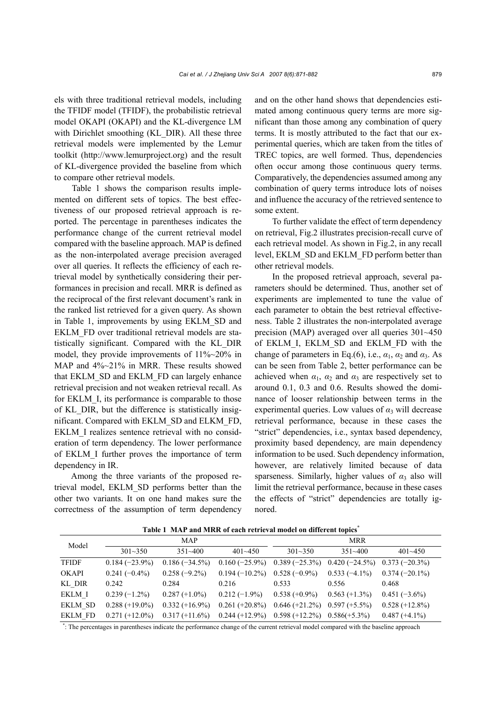els with three traditional retrieval models, including the TFIDF model (TFIDF), the probabilistic retrieval model OKAPI (OKAPI) and the KL-divergence LM with Dirichlet smoothing (KL\_DIR). All these three retrieval models were implemented by the Lemur toolkit (http://www.lemurproject.org) and the result of KL-divergence provided the baseline from which to compare other retrieval models.

Table 1 shows the comparison results implemented on different sets of topics. The best effectiveness of our proposed retrieval approach is reported. The percentage in parentheses indicates the performance change of the current retrieval model compared with the baseline approach. MAP is defined as the non-interpolated average precision averaged over all queries. It reflects the efficiency of each retrieval model by synthetically considering their performances in precision and recall. MRR is defined as the reciprocal of the first relevant document's rank in the ranked list retrieved for a given query. As shown in Table 1, improvements by using EKLM\_SD and EKLM\_FD over traditional retrieval models are statistically significant. Compared with the KL\_DIR model, they provide improvements of 11%~20% in MAP and  $4\%$ ~21% in MRR. These results showed that EKLM\_SD and EKLM\_FD can largely enhance retrieval precision and not weaken retrieval recall. As for EKLM\_I, its performance is comparable to those of KL\_DIR, but the difference is statistically insignificant. Compared with EKLM\_SD and ELKM\_FD, EKLM\_I realizes sentence retrieval with no consideration of term dependency. The lower performance of EKLM\_I further proves the importance of term dependency in IR.

Among the three variants of the proposed retrieval model, EKLM\_SD performs better than the other two variants. It on one hand makes sure the correctness of the assumption of term dependency and on the other hand shows that dependencies estimated among continuous query terms are more significant than those among any combination of query terms. It is mostly attributed to the fact that our experimental queries, which are taken from the titles of TREC topics, are well formed. Thus, dependencies often occur among those continuous query terms. Comparatively, the dependencies assumed among any combination of query terms introduce lots of noises and influence the accuracy of the retrieved sentence to some extent.

To further validate the effect of term dependency on retrieval, Fig.2 illustrates precision-recall curve of each retrieval model. As shown in Fig.2, in any recall level, EKLM\_SD and EKLM\_FD perform better than other retrieval models.

In the proposed retrieval approach, several parameters should be determined. Thus, another set of experiments are implemented to tune the value of each parameter to obtain the best retrieval effectiveness. Table 2 illustrates the non-interpolated average precision (MAP) averaged over all queries 301~450 of EKLM\_I, EKLM\_SD and EKLM\_FD with the change of parameters in Eq.(6), i.e.,  $\alpha_1$ ,  $\alpha_2$  and  $\alpha_3$ . As can be seen from Table 2, better performance can be achieved when  $\alpha_1$ ,  $\alpha_2$  and  $\alpha_3$  are respectively set to around 0.1, 0.3 and 0.6. Results showed the dominance of looser relationship between terms in the experimental queries. Low values of  $\alpha_3$  will decrease retrieval performance, because in these cases the "strict" dependencies, i.e., syntax based dependency, proximity based dependency, are main dependency information to be used. Such dependency information, however, are relatively limited because of data sparseness. Similarly, higher values of  $\alpha_3$  also will limit the retrieval performance, because in these cases the effects of "strict" dependencies are totally ignored.

| Model          | <b>MAP</b>        |                   |                   | <b>MRR</b>                         |                  |                   |
|----------------|-------------------|-------------------|-------------------|------------------------------------|------------------|-------------------|
|                | $301 - 350$       | $351 - 400$       | $401 - 450$       | $301 - 350$                        | $351 - 400$      | $401 - 450$       |
| <b>TFIDF</b>   | $0.184(-23.9\%)$  | $0.186(-34.5\%)$  | $0.160(-25.9\%)$  | $0.389(-25.3\%)$                   | $0.420(-24.5%)$  | $0.373(-20.3\%)$  |
| <b>OKAPI</b>   | $0.241(-0.4\%)$   | $0.258(-9.2\%)$   | $0.194(-10.2\%)$  | $0.528(-0.9\%)$                    | $0.533(-4.1\%)$  | $0.374(-20.1\%)$  |
| KL DIR         | 0.242             | 0.284             | 0.216             | 0.533                              | 0.556            | 0.468             |
| EKLM I         | $0.239(-1.2\%)$   | $0.287 (+1.0\%)$  | $0.212(-1.9\%)$   | $0.538 (+0.9\%)$                   | $0.563 (+1.3%)$  | $0.451(-3.6\%)$   |
| EKLM SD        | $0.288 (+19.0\%)$ | $0.332 (+16.9\%)$ | $0.261 (+20.8\%)$ | $0.646 (+21.2%)$                   | $0.597 (+5.5\%)$ | $0.528 (+12.8\%)$ |
| <b>EKLM FD</b> | $0.271 (+12.0\%)$ | $0.317 (+11.6\%)$ | $0.244 (+12.9\%)$ | $0.598 (+12.2\%)$ $0.586 (+5.3\%)$ |                  | $0.487 (+4.1\%)$  |

**Table 1 MAP and MRR of each retrieval model on different topics\***

**\*** : The percentages in parentheses indicate the performance change of the current retrieval model compared with the baseline approach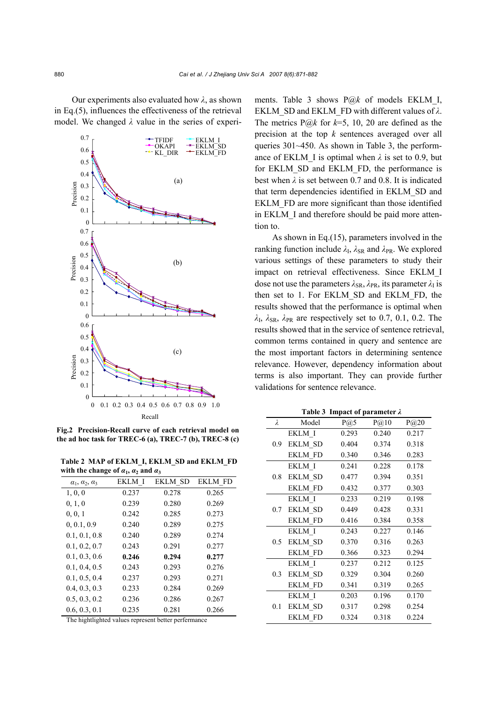Our experiments also evaluated how *λ*, as shown in Eq.(5), influences the effectiveness of the retrieval model. We changed *λ* value in the series of experi-



**Fig.2 Precision-Recall curve of each retrieval model on the ad hoc task for TREC-6 (a), TREC-7 (b), TREC-8 (c)**

**Table 2 MAP of EKLM\_I, EKLM\_SD and EKLM\_FD** with the change of  $a_1$ ,  $a_2$  and  $a_3$ 

| $\alpha_1$ , $\alpha_2$ , $\alpha_3$ | EKLM I | <b>EKLM SD</b> | <b>EKLM FD</b> |
|--------------------------------------|--------|----------------|----------------|
| 1, 0, 0                              | 0.237  | 0.278          | 0.265          |
| 0, 1, 0                              | 0.239  | 0.280          | 0.269          |
| 0, 0, 1                              | 0.242  | 0.285          | 0.273          |
| 0, 0.1, 0.9                          | 0.240  | 0.289          | 0.275          |
| 0.1, 0.1, 0.8                        | 0.240  | 0.289          | 0.274          |
| 0.1, 0.2, 0.7                        | 0.243  | 0.291          | 0.277          |
| 0.1, 0.3, 0.6                        | 0.246  | 0.294          | 0.277          |
| 0.1, 0.4, 0.5                        | 0.243  | 0.293          | 0.276          |
| 0.1, 0.5, 0.4                        | 0.237  | 0.293          | 0.271          |
| 0.4, 0.3, 0.3                        | 0.233  | 0.284          | 0.269          |
| 0.5, 0.3, 0.2                        | 0.236  | 0.286          | 0.267          |
| 0.6, 0.3, 0.1                        | 0.235  | 0.281          | 0.266          |
|                                      |        |                |                |

The hightlighted values represent better perfermance

ments. Table 3 shows P@*k* of models EKLM\_I, EKLM\_SD and EKLM\_FD with different values of *λ*. The metrics  $P@k$  for  $k=5$ , 10, 20 are defined as the precision at the top *k* sentences averaged over all queries 301~450. As shown in Table 3, the performance of EKLM I is optimal when  $\lambda$  is set to 0.9, but for EKLM\_SD and EKLM\_FD, the performance is best when  $\lambda$  is set between 0.7 and 0.8. It is indicated that term dependencies identified in EKLM\_SD and EKLM\_FD are more significant than those identified in EKLM\_I and therefore should be paid more attention to.

As shown in Eq.(15), parameters involved in the ranking function include  $λ$ <sub>I</sub>,  $λ$ <sub>SR</sub> and  $λ$ <sub>PR</sub>. We explored various settings of these parameters to study their impact on retrieval effectiveness. Since EKLM\_I dose not use the parameters  $\lambda_{\text{SR}}$ ,  $\lambda_{\text{PR}}$ , its parameter  $\lambda_{\text{I}}$  is then set to 1. For EKLM\_SD and EKLM\_FD, the results showed that the performance is optimal when  $\lambda_{\rm I}$ ,  $\lambda_{\rm SR}$ ,  $\lambda_{\rm PR}$  are respectively set to 0.7, 0.1, 0.2. The results showed that in the service of sentence retrieval, common terms contained in query and sentence are the most important factors in determining sentence relevance. However, dependency information about terms is also important. They can provide further validations for sentence relevance.

**Table 3 Impact of parameter** *λ*

| λ   | Model          | P@5   | $P(\widehat{\omega})$ 10 | P(a)20 |  |  |  |
|-----|----------------|-------|--------------------------|--------|--|--|--|
| 0.9 | EKLM I         | 0.293 | 0.240                    | 0.217  |  |  |  |
|     | <b>EKLM SD</b> | 0.404 | 0.374                    | 0.318  |  |  |  |
|     | <b>EKLM FD</b> | 0.340 | 0.346                    | 0.283  |  |  |  |
| 0.8 | EKLM I         | 0.241 | 0.228                    | 0.178  |  |  |  |
|     | EKLM SD        | 0.477 | 0.394                    | 0.351  |  |  |  |
|     | <b>EKLM FD</b> | 0.432 | 0.377                    | 0.303  |  |  |  |
| 0.7 | EKLM I         | 0.233 | 0.219                    | 0.198  |  |  |  |
|     | EKLM SD        | 0.449 | 0.428                    | 0.331  |  |  |  |
|     | <b>EKLM FD</b> | 0.416 | 0.384                    | 0.358  |  |  |  |
| 0.5 | EKLM I         | 0.243 | 0.227                    | 0.146  |  |  |  |
|     | EKLM SD        | 0.370 | 0.316                    | 0.263  |  |  |  |
|     | <b>EKLM FD</b> | 0.366 | 0.323                    | 0.294  |  |  |  |
| 0.3 | EKLM I         | 0.237 | 0.212                    | 0.125  |  |  |  |
|     | EKLM SD        | 0.329 | 0.304                    | 0.260  |  |  |  |
|     | <b>EKLM FD</b> | 0.341 | 0.319                    | 0.265  |  |  |  |
| 0.1 | EKLM I         | 0.203 | 0.196                    | 0.170  |  |  |  |
|     | EKLM SD        | 0.317 | 0.298                    | 0.254  |  |  |  |
|     | <b>EKLM FD</b> | 0.324 | 0.318                    | 0.224  |  |  |  |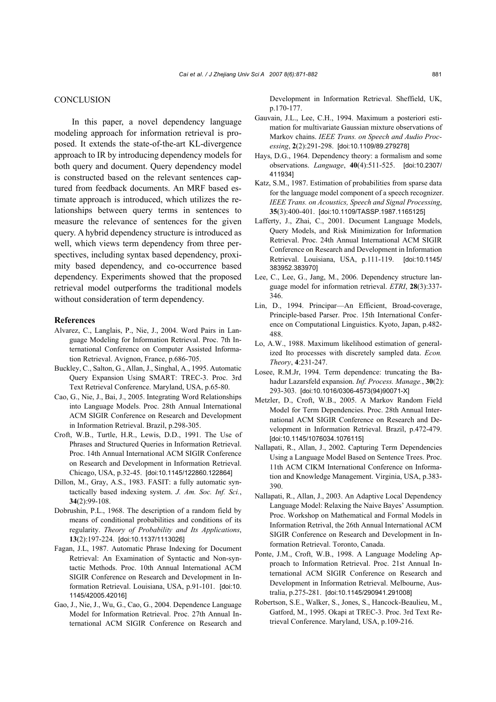## **CONCLUSION**

In this paper, a novel dependency language modeling approach for information retrieval is proposed. It extends the state-of-the-art KL-divergence approach to IR by introducing dependency models for both query and document. Query dependency model is constructed based on the relevant sentences captured from feedback documents. An MRF based estimate approach is introduced, which utilizes the relationships between query terms in sentences to measure the relevance of sentences for the given query. A hybrid dependency structure is introduced as well, which views term dependency from three perspectives, including syntax based dependency, proximity based dependency, and co-occurrence based dependency. Experiments showed that the proposed retrieval model outperforms the traditional models without consideration of term dependency.

#### **References**

- Alvarez, C., Langlais, P., Nie, J., 2004. Word Pairs in Language Modeling for Information Retrieval. Proc. 7th International Conference on Computer Assisted Information Retrieval. Avignon, France, p.686-705.
- Buckley, C., Salton, G., Allan, J., Singhal, A., 1995. Automatic Query Expansion Using SMART: TREC-3. Proc. 3rd Text Retrieval Conference. Maryland, USA, p.65-80.
- Cao, G., Nie, J., Bai, J., 2005. Integrating Word Relationships into Language Models. Proc. 28th Annual International ACM SIGIR Conference on Research and Development in Information Retrieval. Brazil, p.298-305.
- Croft, W.B., Turtle, H.R., Lewis, D.D., 1991. The Use of Phrases and Structured Queries in Information Retrieval. Proc. 14th Annual International ACM SIGIR Conference on Research and Development in Information Retrieval. Chicago, USA, p.32-45. [doi:10.1145/122860.122864]
- Dillon, M., Gray, A.S., 1983. FASIT: a fully automatic syntactically based indexing system. *J. Am. Soc. Inf. Sci.*, **34**(2):99-108.
- Dobrushin, P.L., 1968. The description of a random field by means of conditional probabilities and conditions of its regularity. *Theory of Probability and Its Applications*, **13**(2):197-224. [doi:10.1137/1113026]
- Fagan, J.L, 1987. Automatic Phrase Indexing for Document Retrieval: An Examination of Syntactic and Non-syntactic Methods. Proc. 10th Annual International ACM SIGIR Conference on Research and Development in Information Retrieval. Louisiana, USA, p.91-101. [doi:10. 1145/42005.42016]
- Gao, J., Nie, J., Wu, G., Cao, G., 2004. Dependence Language Model for Information Retrieval. Proc. 27th Annual International ACM SIGIR Conference on Research and

Development in Information Retrieval. Sheffield, UK, p.170-177.

- Gauvain, J.L., Lee, C.H., 1994. Maximum a posteriori estimation for multivariate Gaussian mixture observations of Markov chains. *IEEE Trans. on Speech and Audio Processing*, **2**(2):291-298. [doi:10.1109/89.279278]
- Hays, D.G., 1964. Dependency theory: a formalism and some observations. *Language*, **40**(4):511-525. [doi:10.2307/ 411934]
- Katz, S.M., 1987. Estimation of probabilities from sparse data for the language model component of a speech recognizer. *IEEE Trans. on Acoustics, Speech and Signal Processing*, **35**(3):400-401. [doi:10.1109/TASSP.1987.1165125]
- Lafferty, J., Zhai, C., 2001. Document Language Models, Query Models, and Risk Minimization for Information Retrieval. Proc. 24th Annual International ACM SIGIR Conference on Research and Development in Information Retrieval. Louisiana, USA, p.111-119. [doi:10.1145/ 383952.383970]
- Lee, C., Lee, G., Jang, M., 2006. Dependency structure language model for information retrieval. *ETRI*, **28**(3):337- 346.
- Lin, D., 1994. Principar—An Efficient, Broad-coverage, Principle-based Parser. Proc. 15th International Conference on Computational Linguistics. Kyoto, Japan, p.482- 488.
- Lo, A.W., 1988. Maximum likelihood estimation of generalized Ito processes with discretely sampled data. *Econ. Theory*, **4**:231-247.
- Losee, R.M.Jr, 1994. Term dependence: truncating the Bahadur Lazarsfeld expansion. *Inf. Process. Manage.*, **30**(2): 293-303. [doi:10.1016/0306-4573(94)90071-X]
- Metzler, D., Croft, W.B., 2005. A Markov Random Field Model for Term Dependencies. Proc. 28th Annual International ACM SIGIR Conference on Research and Development in Information Retrieval. Brazil, p.472-479. [doi:10.1145/1076034.1076115]
- Nallapati, R., Allan, J., 2002. Capturing Term Dependencies Using a Language Model Based on Sentence Trees. Proc. 11th ACM CIKM International Conference on Information and Knowledge Management. Virginia, USA, p.383- 390.
- Nallapati, R., Allan, J., 2003. An Adaptive Local Dependency Language Model: Relaxing the Naive Bayes' Assumption. Proc. Workshop on Mathematical and Formal Models in Information Retrival, the 26th Annual International ACM SIGIR Conference on Research and Development in Information Retrieval. Toronto, Canada.
- Ponte, J.M., Croft, W.B., 1998. A Language Modeling Approach to Information Retrieval. Proc. 21st Annual International ACM SIGIR Conference on Research and Development in Information Retrieval. Melbourne, Australia, p.275-281. [doi:10.1145/290941.291008]
- Robertson, S.E., Walker, S., Jones, S., Hancock-Beaulieu, M., Gatford, M., 1995. Okapi at TREC-3. Proc. 3rd Text Retrieval Conference. Maryland, USA, p.109-216.